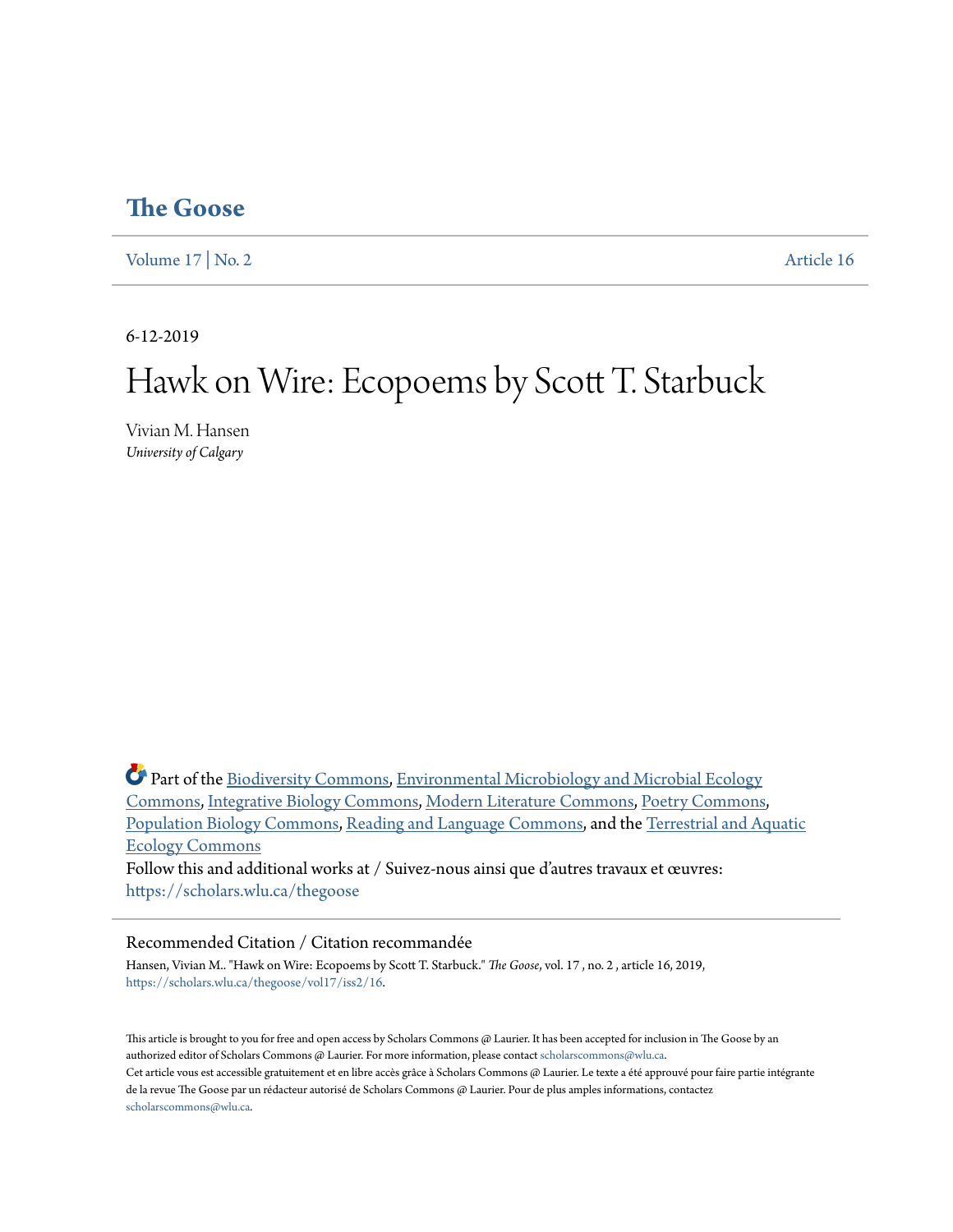# **[The Goose](https://scholars.wlu.ca/thegoose?utm_source=scholars.wlu.ca%2Fthegoose%2Fvol17%2Fiss2%2F16&utm_medium=PDF&utm_campaign=PDFCoverPages)**

[Volume 17](https://scholars.wlu.ca/thegoose/vol17?utm_source=scholars.wlu.ca%2Fthegoose%2Fvol17%2Fiss2%2F16&utm_medium=PDF&utm_campaign=PDFCoverPages) | [No. 2](https://scholars.wlu.ca/thegoose/vol17/iss2?utm_source=scholars.wlu.ca%2Fthegoose%2Fvol17%2Fiss2%2F16&utm_medium=PDF&utm_campaign=PDFCoverPages) [Article 16](https://scholars.wlu.ca/thegoose/vol17/iss2/16?utm_source=scholars.wlu.ca%2Fthegoose%2Fvol17%2Fiss2%2F16&utm_medium=PDF&utm_campaign=PDFCoverPages)

6-12-2019

# Hawk on Wire: Ecopoems by Scott T. Starbuck

Vivian M. Hansen *University of Calgary*

Part of the [Biodiversity Commons](http://network.bepress.com/hgg/discipline/1127?utm_source=scholars.wlu.ca%2Fthegoose%2Fvol17%2Fiss2%2F16&utm_medium=PDF&utm_campaign=PDFCoverPages), [Environmental Microbiology and Microbial Ecology](http://network.bepress.com/hgg/discipline/50?utm_source=scholars.wlu.ca%2Fthegoose%2Fvol17%2Fiss2%2F16&utm_medium=PDF&utm_campaign=PDFCoverPages) [Commons,](http://network.bepress.com/hgg/discipline/50?utm_source=scholars.wlu.ca%2Fthegoose%2Fvol17%2Fiss2%2F16&utm_medium=PDF&utm_campaign=PDFCoverPages) [Integrative Biology Commons,](http://network.bepress.com/hgg/discipline/1302?utm_source=scholars.wlu.ca%2Fthegoose%2Fvol17%2Fiss2%2F16&utm_medium=PDF&utm_campaign=PDFCoverPages) [Modern Literature Commons](http://network.bepress.com/hgg/discipline/1050?utm_source=scholars.wlu.ca%2Fthegoose%2Fvol17%2Fiss2%2F16&utm_medium=PDF&utm_campaign=PDFCoverPages), [Poetry Commons](http://network.bepress.com/hgg/discipline/1153?utm_source=scholars.wlu.ca%2Fthegoose%2Fvol17%2Fiss2%2F16&utm_medium=PDF&utm_campaign=PDFCoverPages), [Population Biology Commons,](http://network.bepress.com/hgg/discipline/19?utm_source=scholars.wlu.ca%2Fthegoose%2Fvol17%2Fiss2%2F16&utm_medium=PDF&utm_campaign=PDFCoverPages) [Reading and Language Commons,](http://network.bepress.com/hgg/discipline/1037?utm_source=scholars.wlu.ca%2Fthegoose%2Fvol17%2Fiss2%2F16&utm_medium=PDF&utm_campaign=PDFCoverPages) and the [Terrestrial and Aquatic](http://network.bepress.com/hgg/discipline/20?utm_source=scholars.wlu.ca%2Fthegoose%2Fvol17%2Fiss2%2F16&utm_medium=PDF&utm_campaign=PDFCoverPages) [Ecology Commons](http://network.bepress.com/hgg/discipline/20?utm_source=scholars.wlu.ca%2Fthegoose%2Fvol17%2Fiss2%2F16&utm_medium=PDF&utm_campaign=PDFCoverPages) Follow this and additional works at / Suivez-nous ainsi que d'autres travaux et œuvres: [https://scholars.wlu.ca/thegoose](https://scholars.wlu.ca/thegoose?utm_source=scholars.wlu.ca%2Fthegoose%2Fvol17%2Fiss2%2F16&utm_medium=PDF&utm_campaign=PDFCoverPages)

#### Recommended Citation / Citation recommandée

Hansen, Vivian M.. "Hawk on Wire: Ecopoems by Scott T. Starbuck." *The Goose*, vol. 17 , no. 2 , article 16, 2019, [https://scholars.wlu.ca/thegoose/vol17/iss2/16.](https://scholars.wlu.ca/thegoose/vol17/iss2/16?utm_source=scholars.wlu.ca%2Fthegoose%2Fvol17%2Fiss2%2F16&utm_medium=PDF&utm_campaign=PDFCoverPages)

This article is brought to you for free and open access by Scholars Commons @ Laurier. It has been accepted for inclusion in The Goose by an authorized editor of Scholars Commons @ Laurier. For more information, please contact [scholarscommons@wlu.ca.](mailto:scholarscommons@wlu.ca) Cet article vous est accessible gratuitement et en libre accès grâce à Scholars Commons @ Laurier. Le texte a été approuvé pour faire partie intégrante de la revue The Goose par un rédacteur autorisé de Scholars Commons @ Laurier. Pour de plus amples informations, contactez [scholarscommons@wlu.ca.](mailto:scholarscommons@wlu.ca)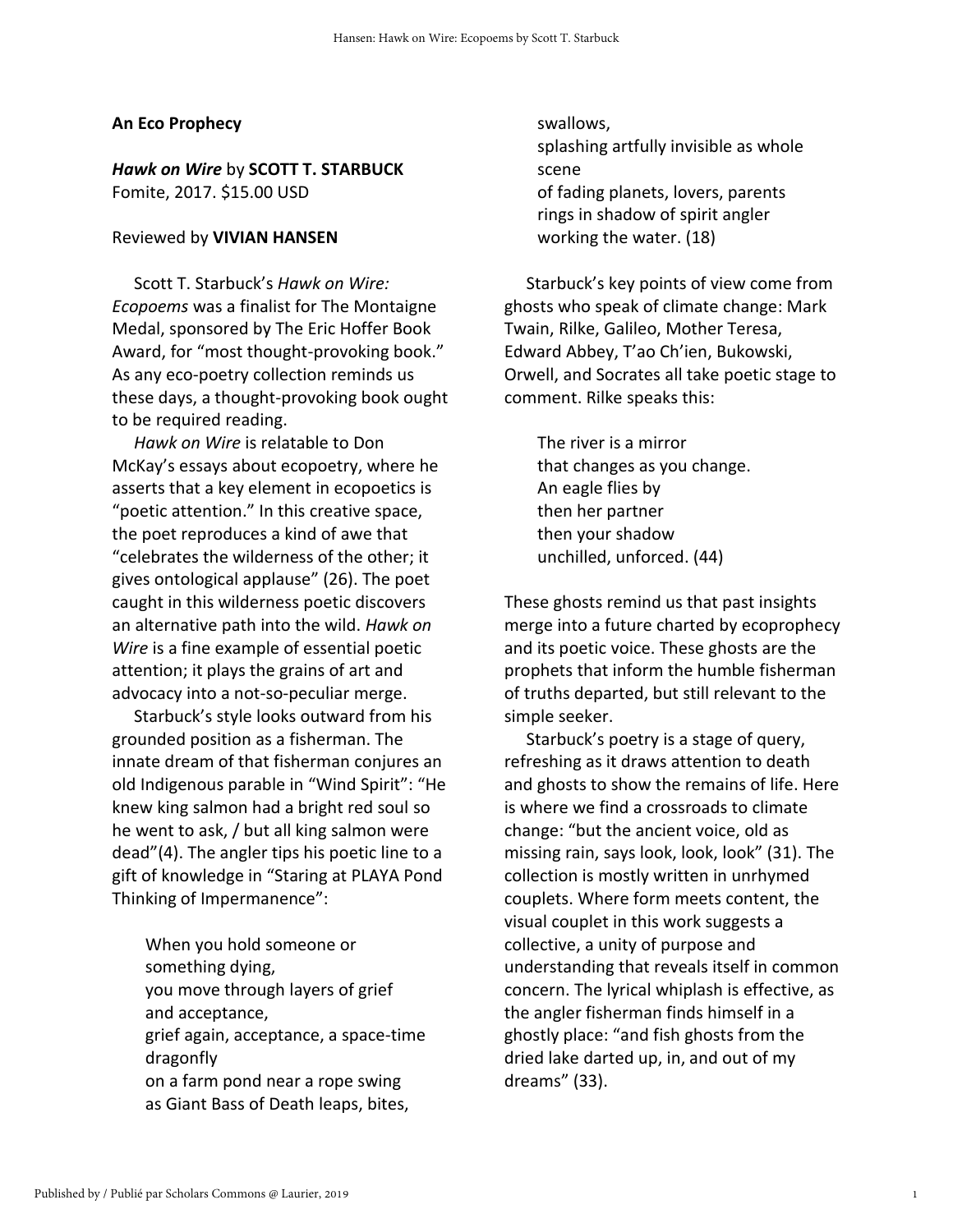### **An Eco Prophecy**

## *Hawk on Wire* by **SCOTT T. STARBUCK** Fomite, 2017. \$15.00 USD

#### Reviewed by **VIVIAN HANSEN**

Scott T. Starbuck's *Hawk on Wire: Ecopoems* was a finalist for The Montaigne Medal, sponsored by The Eric Hoffer Book Award, for "most thought-provoking book." As any eco-poetry collection reminds us these days, a thought-provoking book ought to be required reading.

*Hawk on Wire* is relatable to Don McKay's essays about ecopoetry, where he asserts that a key element in ecopoetics is "poetic attention." In this creative space, the poet reproduces a kind of awe that "celebrates the wilderness of the other; it gives ontological applause" (26). The poet caught in this wilderness poetic discovers an alternative path into the wild. *Hawk on Wire* is a fine example of essential poetic attention; it plays the grains of art and advocacy into a not-so-peculiar merge.

Starbuck's style looks outward from his grounded position as a fisherman. The innate dream of that fisherman conjures an old Indigenous parable in "Wind Spirit": "He knew king salmon had a bright red soul so he went to ask, / but all king salmon were dead"(4). The angler tips his poetic line to a gift of knowledge in "Staring at PLAYA Pond Thinking of Impermanence":

When you hold someone or something dying, you move through layers of grief and acceptance, grief again, acceptance, a space-time dragonfly on a farm pond near a rope swing as Giant Bass of Death leaps, bites,

swallows, splashing artfully invisible as whole scene of fading planets, lovers, parents rings in shadow of spirit angler working the water. (18)

Starbuck's key points of view come from ghosts who speak of climate change: Mark Twain, Rilke, Galileo, Mother Teresa, Edward Abbey, T'ao Ch'ien, Bukowski, Orwell, and Socrates all take poetic stage to comment. Rilke speaks this:

The river is a mirror that changes as you change. An eagle flies by then her partner then your shadow unchilled, unforced. (44)

These ghosts remind us that past insights merge into a future charted by ecoprophecy and its poetic voice. These ghosts are the prophets that inform the humble fisherman of truths departed, but still relevant to the simple seeker.

Starbuck's poetry is a stage of query, refreshing as it draws attention to death and ghosts to show the remains of life. Here is where we find a crossroads to climate change: "but the ancient voice, old as missing rain, says look, look, look" (31). The collection is mostly written in unrhymed couplets. Where form meets content, the visual couplet in this work suggests a collective, a unity of purpose and understanding that reveals itself in common concern. The lyrical whiplash is effective, as the angler fisherman finds himself in a ghostly place: "and fish ghosts from the dried lake darted up, in, and out of my dreams" (33).